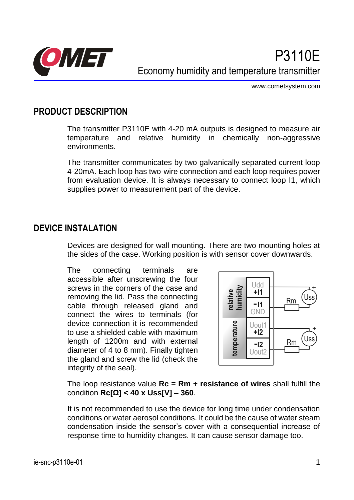

www.cometsystem.com

### **PRODUCT DESCRIPTION**

The transmitter P3110E with 4-20 mA outputs is designed to measure air temperature and relative humidity in chemically non-aggressive environments.

The transmitter communicates by two galvanically separated current loop 4-20mA. Each loop has two-wire connection and each loop requires power from evaluation device. It is always necessary to connect loop I1, which supplies power to measurement part of the device.

#### **DEVICE INSTALATION**

Devices are designed for wall mounting. There are two mounting holes at the sides of the case. Working position is with sensor cover downwards.

The connecting terminals are accessible after unscrewing the four screws in the corners of the case and removing the lid. Pass the connecting cable through released gland and connect the wires to terminals (for device connection it is recommended to use a shielded cable with maximum length of 1200m and with external diameter of 4 to 8 mm). Finally tighten the gland and screw the lid (check the integrity of the seal).



The loop resistance value **Rc = Rm + resistance of wires** shall fulfill the condition **Rc[Ω] < 40 x Uss[V] – 360**.

It is not recommended to use the device for long time under condensation conditions or water aerosol conditions. It could be the cause of water steam condensation inside the sensor's cover with a consequential increase of response time to humidity changes. It can cause sensor damage too.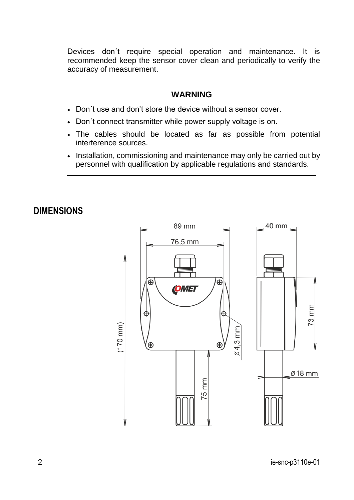Devices don´t require special operation and maintenance. It is recommended keep the sensor cover clean and periodically to verify the accuracy of measurement.

#### **WARNING**

- Don´t use and don't store the device without a sensor cover.
- Don´t connect transmitter while power supply voltage is on.
- The cables should be located as far as possible from potential interference sources.
- Installation, commissioning and maintenance may only be carried out by personnel with qualification by applicable regulations and standards.

#### **DIMENSIONS**

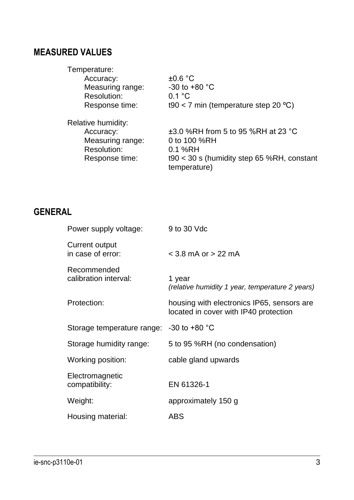# **MEASURED VALUES**

| Temperature:       |                                                              |
|--------------------|--------------------------------------------------------------|
| Accuracy:          | $\pm 0.6$ °C                                                 |
| Measuring range:   | $-30$ to $+80$ °C                                            |
| Resolution:        | 0.1 °C                                                       |
| Response time:     | t90 < 7 min (temperature step 20 $^{\circ}$ C)               |
| Relative humidity: |                                                              |
| Accuracy:          | ±3.0 %RH from 5 to 95 %RH at 23 °C                           |
| Measuring range:   | 0 to 100 %RH                                                 |
| Resolution:        | 0.1 %RH                                                      |
| Response time:     | $190 < 30$ s (humidity step 65 %RH, constant<br>temperature) |

### **GENERAL**

| Power supply voltage:                    | 9 to 30 Vdc                                                                         |
|------------------------------------------|-------------------------------------------------------------------------------------|
| Current output<br>in case of error:      | $<$ 3.8 mA or $>$ 22 mA                                                             |
| Recommended<br>calibration interval:     | 1 year<br>(relative humidity 1 year, temperature 2 years)                           |
| Protection:                              | housing with electronics IP65, sensors are<br>located in cover with IP40 protection |
| Storage temperature range: -30 to +80 °C |                                                                                     |
| Storage humidity range:                  | 5 to 95 %RH (no condensation)                                                       |
| Working position:                        | cable gland upwards                                                                 |
| Electromagnetic<br>compatibility:        | EN 61326-1                                                                          |
| Weight:                                  | approximately 150 g                                                                 |
| Housing material:                        | <b>ABS</b>                                                                          |